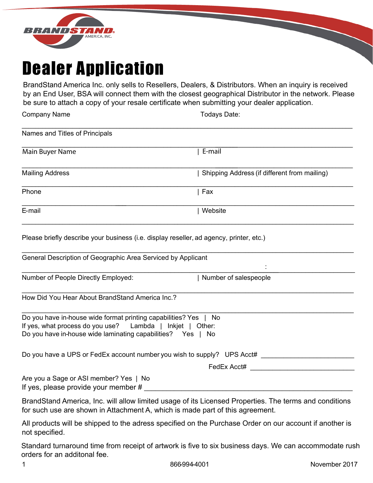

## Dealer Application

BrandStand America Inc. only sells to Resellers, Dealers, & Distributors. When an inquiry is received by an End User, BSA will connect them with the closest geographical Distributor in the network. Please be sure to attach a copy of your resale certificate when submitting your dealer application.

Company Name Todays Date:

| Names and Titles of Principals                                                                                                                                                               |                                              |  |  |  |
|----------------------------------------------------------------------------------------------------------------------------------------------------------------------------------------------|----------------------------------------------|--|--|--|
| Main Buyer Name                                                                                                                                                                              | E-mail                                       |  |  |  |
| <b>Mailing Address</b>                                                                                                                                                                       | Shipping Address (if different from mailing) |  |  |  |
| Phone                                                                                                                                                                                        | $ $ Fax                                      |  |  |  |
| E-mail                                                                                                                                                                                       | Website                                      |  |  |  |
| Please briefly describe your business (i.e. display reseller, ad agency, printer, etc.)                                                                                                      |                                              |  |  |  |
| General Description of Geographic Area Serviced by Applicant                                                                                                                                 |                                              |  |  |  |
| Number of People Directly Employed:                                                                                                                                                          | Number of salespeople                        |  |  |  |
| How Did You Hear About BrandStand America Inc.?                                                                                                                                              |                                              |  |  |  |
| Do you have in-house wide format printing capabilities? Yes   No<br>If yes, what process do you use? Lambda   Inkjet   Other:<br>Do you have in-house wide laminating capabilities? Yes   No |                                              |  |  |  |
| Do you have a UPS or FedEx account number you wish to supply? UPS Acct#                                                                                                                      |                                              |  |  |  |
|                                                                                                                                                                                              | FedEx Acct#                                  |  |  |  |
| Are you a Sage or ASI member? Yes   No<br>If yes, please provide your member $\#$                                                                                                            |                                              |  |  |  |
| BrandStand America, Inc. will allow limited usage of its Licensed Properties. The terms and conditions                                                                                       |                                              |  |  |  |

for such use are shown in Attachment A, which is made part of this agreement. All products will be shipped to the adress specified on the Purchase Order on our account if another is not specified.

Standard turnaround time from receipt of artwork is five to six business days. We can accommodate rush orders for an additonal fee.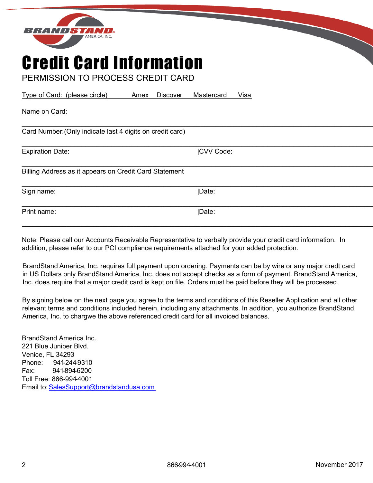

## Credit Card Information

PERMISSION TO PROCESS CREDIT CARD

Type of Card: (please circle) Amex Discover Mastercard Visa

| Name on Card:                                             |                  |  |
|-----------------------------------------------------------|------------------|--|
| Card Number: (Only indicate last 4 digits on credit card) |                  |  |
| <b>Expiration Date:</b>                                   | <b>CVV Code:</b> |  |
| Billing Address as it appears on Credit Card Statement    |                  |  |
| Sign name:                                                | Date:            |  |
| Print name:                                               | Date:            |  |
|                                                           |                  |  |

Note: Please call our Accounts Receivable Representative to verbally provide your credit card information. In addition, please refer to our PCI compliance requirements attached for your added protection.

BrandStand America, Inc. requires full payment upon ordering. Payments can be by wire or any major credt card in US Dollars only BrandStand America, Inc. does not accept checks as a form of payment. BrandStand America, Inc. does require that a major credit card is kept on file. Orders must be paid before they will be processed.

By signing below on the next page you agree to the terms and conditions of this Reseller Application and all other relevant terms and conditions included herein, including any attachments. In addition, you authorize BrandStand America, Inc. to chargwe the above referenced credit card for all invoiced balances.

BrandStand America Inc. 221 Blue Juniper Blvd. Venice, FL 34293 Phone: 941-244-9310 Fax: 941-894-6200 Toll Free: 866-994-4001 Email to: SalesSupport@brandstandusa.com